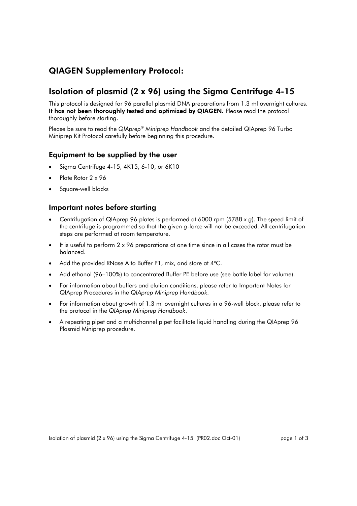# QIAGEN Supplementary Protocol:

## Isolation of plasmid (2 x 96) using the Sigma Centrifuge 4-15

This protocol is designed for 96 parallel plasmid DNA preparations from 1.3 ml overnight cultures. It has not been thoroughly tested and optimized by QIAGEN. Please read the protocol thoroughly before starting.

Please be sure to read the *QIAprep® Miniprep Handbook* and the detailed QIAprep 96 Turbo Miniprep Kit Protocol carefully before beginning this procedure.

### Equipment to be supplied by the user

- Sigma Centrifuge 4-15, 4K15, 6-10, or 6K10
- Plate Rotor 2 x 96
- Square-well blocks

#### Important notes before starting

- Centrifugation of QIAprep 96 plates is performed at 6000 rpm (5788 x *g*). The speed limit of the centrifuge is programmed so that the given *g*-force will not be exceeded. All centrifugation steps are performed at room temperature.
- It is useful to perform 2 x 96 preparations at one time since in all cases the rotor must be balanced.
- Add the provided RNase A to Buffer P1, mix, and store at  $4^{\circ}$ C.
- Add ethanol (96–100%) to concentrated Buffer PE before use (see bottle label for volume).
- For information about buffers and elution conditions, please refer to Important Notes for QIAprep Procedures in the *QIAprep Miniprep Handbook*.
- For information about growth of 1.3 ml overnight cultures in a 96-well block, please refer to the protocol in the *QIAprep Miniprep Handbook*.
- A repeating pipet and a multichannel pipet facilitate liquid handling during the QIAprep 96 Plasmid Miniprep procedure.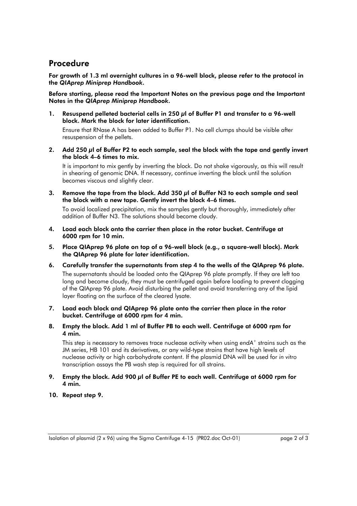### Procedure

For growth of 1.3 ml overnight cultures in a 96-well block, please refer to the protocol in the *QIAprep Miniprep Handbook*.

Before starting, please read the Important Notes on the previous page and the Important Notes in the *QIAprep Miniprep Handbook*.

1. Resuspend pelleted bacterial cells in 250 µl of Buffer P1 and transfer to a 96-well block. Mark the block for later identification.

 Ensure that RNase A has been added to Buffer P1. No cell clumps should be visible after resuspension of the pellets.

2. Add 250 µl of Buffer P2 to each sample, seal the block with the tape and gently invert the block 4–6 times to mix.

 It is important to mix gently by inverting the block. Do not shake vigorously, as this will result in shearing of genomic DNA. If necessary, continue inverting the block until the solution becomes viscous and slightly clear.

3. Remove the tape from the block. Add 350 µl of Buffer N3 to each sample and seal the block with a new tape. Gently invert the block 4–6 times.

 To avoid localized precipitation, mix the samples gently but thoroughly, immediately after addition of Buffer N3. The solutions should become cloudy.

- 4. Load each block onto the carrier then place in the rotor bucket. Centrifuge at 6000 rpm for 10 min.
- 5. Place QIAprep 96 plate on top of a 96-well block (e.g., a square-well block). Mark the QIAprep 96 plate for later identification.
- 6. Carefully transfer the supernatants from step 4 to the wells of the QIAprep 96 plate. The supernatants should be loaded onto the QIAprep 96 plate promptly. If they are left too long and become cloudy, they must be centrifuged again before loading to prevent clogging of the QIAprep 96 plate. Avoid disturbing the pellet and avoid transferring any of the lipid layer floating on the surface of the cleared lysate.
- 7. Load each block and QIAprep 96 plate onto the carrier then place in the rotor bucket. Centrifuge at 6000 rpm for 4 min.
- 8. Empty the block. Add 1 ml of Buffer PB to each well. Centrifuge at 6000 rpm for 4 min.

 This step is necessary to removes trace nuclease activity when using *endA+* strains such as the JM series, HB 101 and its derivatives, or any wild-type strains that have high levels of nuclease activity or high carbohydrate content. If the plasmid DNA will be used for *in vitro* transcription assays the PB wash step is required for all strains.

#### 9. Empty the block. Add 900 µl of Buffer PE to each well. Centrifuge at 6000 rpm for 4 min.

10. Repeat step 9.